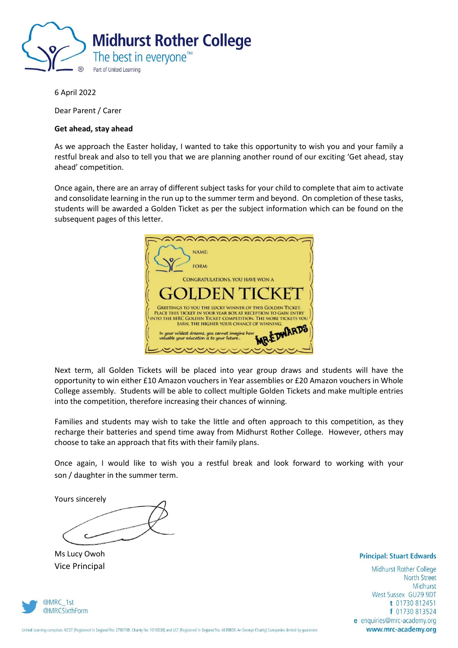

6 April 2022

Dear Parent / Carer

### **Get ahead, stay ahead**

As we approach the Easter holiday, I wanted to take this opportunity to wish you and your family a restful break and also to tell you that we are planning another round of our exciting 'Get ahead, stay ahead' competition.

Once again, there are an array of different subject tasks for your child to complete that aim to activate and consolidate learning in the run up to the summer term and beyond. On completion of these tasks, students will be awarded a Golden Ticket as per the subject information which can be found on the subsequent pages of this letter.



Next term, all Golden Tickets will be placed into year group draws and students will have the opportunity to win either £10 Amazon vouchers in Year assemblies or £20 Amazon vouchers in Whole College assembly. Students will be able to collect multiple Golden Tickets and make multiple entries into the competition, therefore increasing their chances of winning.

Families and students may wish to take the little and often approach to this competition, as they recharge their batteries and spend time away from Midhurst Rother College. However, others may choose to take an approach that fits with their family plans.

Once again, I would like to wish you a restful break and look forward to working with your son / daughter in the summer term.

Yours sincerely

Ms Lucy Owoh Vice Principal

#### **Principal: Stuart Edwards**

Midhurst Rother College North Street Midhurst West Sussex GU29 9DT t 01730 812451 f 01730 813524 e enquiries@mrc-academy.org www.mrc-academy.org